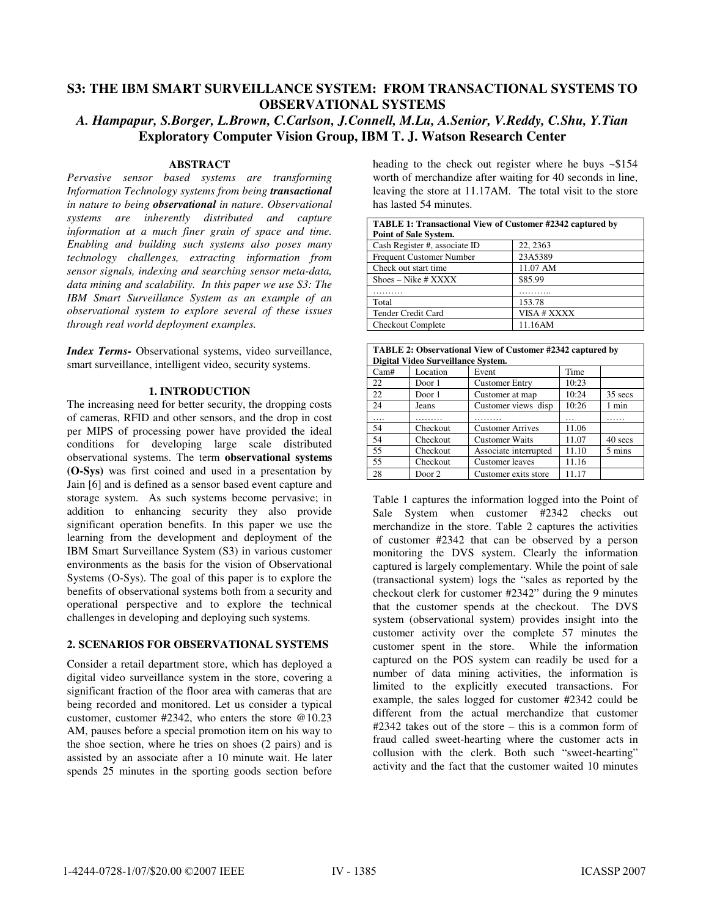# **S3: THE IBM SMART SURVEILLANCE SYSTEM: FROM TRANSACTIONAL SYSTEMS TO OBSERVATIONAL SYSTEMS**

# *A. Hampapur, S.Borger, L.Brown, C.Carlson, J.Connell, M.Lu, A.Senior, V.Reddy, C.Shu, Y.Tian* **Exploratory Computer Vision Group, IBM T. J. Watson Research Center**

## **ABSTRACT**

*Pervasive sensor based systems are transforming Information Technology systems from being transactional in nature to being observational in nature. Observational systems are inherently distributed and capture information at a much finer grain of space and time. Enabling and building such systems also poses many technology challenges, extracting information from sensor signals, indexing and searching sensor meta-data, data mining and scalability. In this paper we use S3: The IBM Smart Surveillance System as an example of an observational system to explore several of these issues through real world deployment examples.* 

*Index Terms-* Observational systems, video surveillance, smart surveillance, intelligent video, security systems.

### **1. INTRODUCTION**

The increasing need for better security, the dropping costs of cameras, RFID and other sensors, and the drop in cost per MIPS of processing power have provided the ideal conditions for developing large scale distributed observational systems. The term **observational systems (O-Sys)** was first coined and used in a presentation by Jain [6] and is defined as a sensor based event capture and storage system. As such systems become pervasive; in addition to enhancing security they also provide significant operation benefits. In this paper we use the learning from the development and deployment of the IBM Smart Surveillance System (S3) in various customer environments as the basis for the vision of Observational Systems (O-Sys). The goal of this paper is to explore the benefits of observational systems both from a security and operational perspective and to explore the technical challenges in developing and deploying such systems.

### **2. SCENARIOS FOR OBSERVATIONAL SYSTEMS**

Consider a retail department store, which has deployed a digital video surveillance system in the store, covering a significant fraction of the floor area with cameras that are being recorded and monitored. Let us consider a typical customer, customer #2342, who enters the store @10.23 AM, pauses before a special promotion item on his way to the shoe section, where he tries on shoes (2 pairs) and is assisted by an associate after a 10 minute wait. He later spends 25 minutes in the sporting goods section before

heading to the check out register where he buys ~\$154 worth of merchandize after waiting for 40 seconds in line, leaving the store at 11.17AM. The total visit to the store has lasted 54 minutes.

| TABLE 1: Transactional View of Customer #2342 captured by |             |  |
|-----------------------------------------------------------|-------------|--|
| <b>Point of Sale System.</b>                              |             |  |
| Cash Register #, associate ID                             | 22, 2363    |  |
| <b>Frequent Customer Number</b>                           | 23A5389     |  |
| Check out start time                                      | 11.07 AM    |  |
| Shoes – Nike # XXXX                                       | \$85.99     |  |
|                                                           |             |  |
| Total                                                     | 153.78      |  |
| Tender Credit Card                                        | VISA # XXXX |  |
| <b>Checkout Complete</b>                                  | 11.16AM     |  |

| TABLE 2: Observational View of Customer #2342 captured by |          |                         |          |         |
|-----------------------------------------------------------|----------|-------------------------|----------|---------|
| Digital Video Surveillance System.                        |          |                         |          |         |
| Cam#                                                      | Location | Event                   | Time     |         |
| 22                                                        | Door 1   | <b>Customer Entry</b>   | 10:23    |         |
| 22                                                        | Door 1   | Customer at map         | 10:24    | 35 secs |
| 24                                                        | Jeans    | Customer views disp     | 10:26    | 1 min   |
|                                                           |          |                         | $\cdots$ | .       |
| 54                                                        | Checkout | <b>Customer Arrives</b> | 11.06    |         |
| 54                                                        | Checkout | <b>Customer Waits</b>   | 11.07    | 40 secs |
| 55                                                        | Checkout | Associate interrupted   | 11.10    | 5 mins  |
| 55                                                        | Checkout | Customer leaves         | 11.16    |         |
| 28                                                        | Door 2   | Customer exits store    | 11.17    |         |

Table 1 captures the information logged into the Point of Sale System when customer #2342 checks out merchandize in the store. Table 2 captures the activities of customer #2342 that can be observed by a person monitoring the DVS system. Clearly the information captured is largely complementary. While the point of sale (transactional system) logs the "sales as reported by the checkout clerk for customer #2342" during the 9 minutes that the customer spends at the checkout. The DVS system (observational system) provides insight into the customer activity over the complete 57 minutes the customer spent in the store. While the information captured on the POS system can readily be used for a number of data mining activities, the information is limited to the explicitly executed transactions. For example, the sales logged for customer #2342 could be different from the actual merchandize that customer #2342 takes out of the store – this is a common form of fraud called sweet-hearting where the customer acts in collusion with the clerk. Both such "sweet-hearting" activity and the fact that the customer waited 10 minutes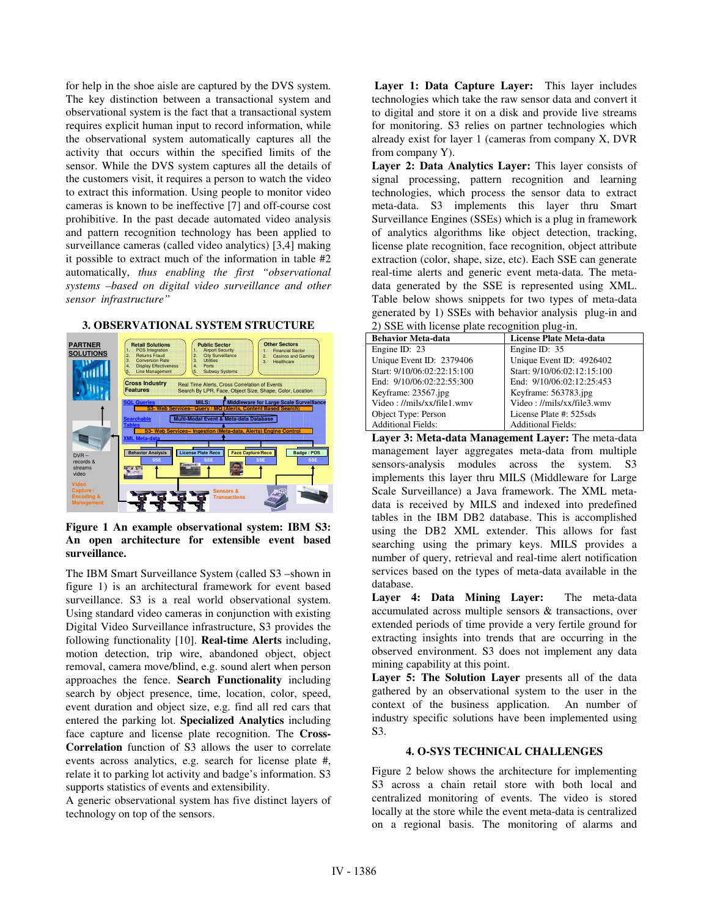for help in the shoe aisle are captured by the DVS system. The key distinction between a transactional system and observational system is the fact that a transactional system requires explicit human input to record information, while the observational system automatically captures all the activity that occurs within the specified limits of the sensor. While the DVS system captures all the details of the customers visit, it requires a person to watch the video to extract this information. Using people to monitor video cameras is known to be ineffective [7] and off-course cost prohibitive. In the past decade automated video analysis and pattern recognition technology has been applied to surveillance cameras (called video analytics) [3,4] making it possible to extract much of the information in table #2 automatically, *thus enabling the first "observational systems –based on digital video surveillance and other sensor infrastructure"*





**Figure 1 An example observational system: IBM S3: An open architecture for extensible event based surveillance.** 

The IBM Smart Surveillance System (called S3 –shown in figure 1) is an architectural framework for event based surveillance. S3 is a real world observational system. Using standard video cameras in conjunction with existing Digital Video Surveillance infrastructure, S3 provides the following functionality [10]. **Real-time Alerts** including, motion detection, trip wire, abandoned object, object removal, camera move/blind, e.g. sound alert when person approaches the fence. **Search Functionality** including search by object presence, time, location, color, speed, event duration and object size, e.g. find all red cars that entered the parking lot. **Specialized Analytics** including face capture and license plate recognition. The **Cross-Correlation** function of S3 allows the user to correlate events across analytics, e.g. search for license plate #, relate it to parking lot activity and badge's information. S3 supports statistics of events and extensibility.

A generic observational system has five distinct layers of technology on top of the sensors.

 **Layer 1: Data Capture Layer:** This layer includes technologies which take the raw sensor data and convert it to digital and store it on a disk and provide live streams for monitoring. S3 relies on partner technologies which already exist for layer 1 (cameras from company X, DVR from company Y).

**Layer 2: Data Analytics Layer:** This layer consists of signal processing, pattern recognition and learning technologies, which process the sensor data to extract meta-data. S3 implements this layer thru Smart Surveillance Engines (SSEs) which is a plug in framework of analytics algorithms like object detection, tracking, license plate recognition, face recognition, object attribute extraction (color, shape, size, etc). Each SSE can generate real-time alerts and generic event meta-data. The metadata generated by the SSE is represented using XML. Table below shows snippets for two types of meta-data generated by 1) SSEs with behavior analysis plug-in and 2) SSE with license plate recognition plug-in.

| $\omega$ ) 331 with necesse plate recognition plug-in. |                                |  |
|--------------------------------------------------------|--------------------------------|--|
| <b>Behavior Meta-data</b>                              | <b>License Plate Meta-data</b> |  |
| Engine ID: 23                                          | Engine ID: 35                  |  |
| Unique Event ID: 2379406                               | Unique Event ID: 4926402       |  |
| Start: 9/10/06:02:22:15:100                            | Start: 9/10/06:02:12:15:100    |  |
| End: 9/10/06:02:22:55:300                              | End: 9/10/06:02:12:25:453      |  |
| Keyframe: 23567.jpg                                    | Keyframe: $563783$ .jpg        |  |
| Video://mils/xx/file1.wmv                              | Video://mils/xx/file3.wmv      |  |
| Object Type: Person                                    | License Plate #: 525sds        |  |
| <b>Additional Fields:</b>                              | <b>Additional Fields:</b>      |  |

**Layer 3: Meta-data Management Layer:** The meta-data management layer aggregates meta-data from multiple sensors-analysis modules across the system. S3 implements this layer thru MILS (Middleware for Large Scale Surveillance) a Java framework. The XML metadata is received by MILS and indexed into predefined tables in the IBM DB2 database. This is accomplished using the DB2 XML extender. This allows for fast searching using the primary keys. MILS provides a number of query, retrieval and real-time alert notification services based on the types of meta-data available in the database.

**Layer 4: Data Mining Layer:** The meta-data accumulated across multiple sensors & transactions, over extended periods of time provide a very fertile ground for extracting insights into trends that are occurring in the observed environment. S3 does not implement any data mining capability at this point.

Layer 5: The Solution Layer presents all of the data gathered by an observational system to the user in the context of the business application. An number of industry specific solutions have been implemented using S3.

## **4. O-SYS TECHNICAL CHALLENGES**

Figure 2 below shows the architecture for implementing S3 across a chain retail store with both local and centralized monitoring of events. The video is stored locally at the store while the event meta-data is centralized on a regional basis. The monitoring of alarms and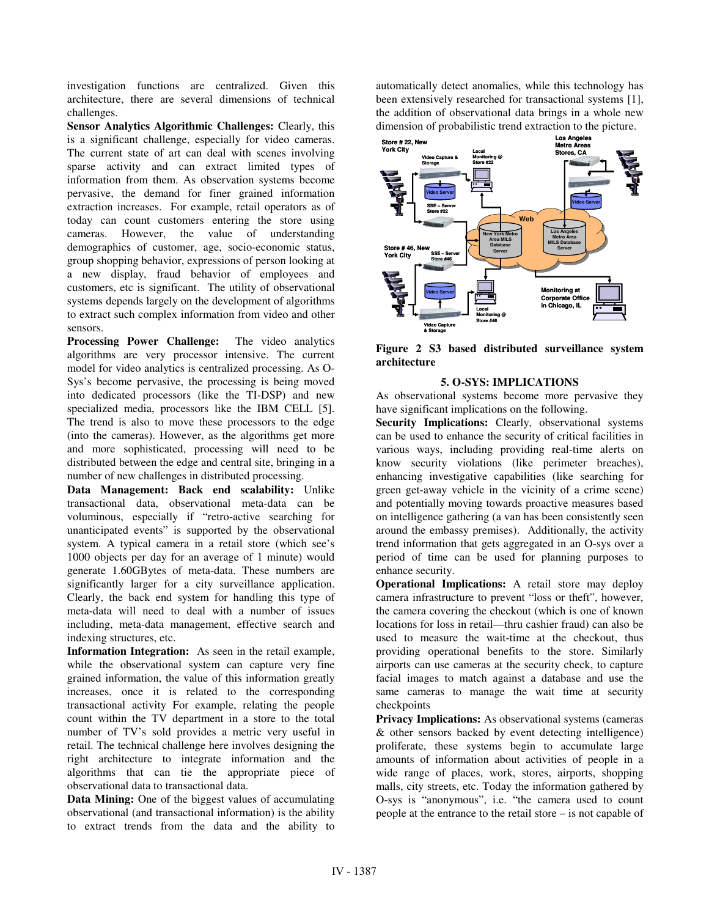investigation functions are centralized. Given this architecture, there are several dimensions of technical challenges.

**Sensor Analytics Algorithmic Challenges:** Clearly, this is a significant challenge, especially for video cameras. The current state of art can deal with scenes involving sparse activity and can extract limited types of information from them. As observation systems become pervasive, the demand for finer grained information extraction increases. For example, retail operators as of today can count customers entering the store using cameras. However, the value of understanding demographics of customer, age, socio-economic status, group shopping behavior, expressions of person looking at a new display, fraud behavior of employees and customers, etc is significant. The utility of observational systems depends largely on the development of algorithms to extract such complex information from video and other sensors.

**Processing Power Challenge:** The video analytics algorithms are very processor intensive. The current model for video analytics is centralized processing. As O-Sys's become pervasive, the processing is being moved into dedicated processors (like the TI-DSP) and new specialized media, processors like the IBM CELL [5]. The trend is also to move these processors to the edge (into the cameras). However, as the algorithms get more and more sophisticated, processing will need to be distributed between the edge and central site, bringing in a number of new challenges in distributed processing.

**Data Management: Back end scalability:** Unlike transactional data, observational meta-data can be voluminous, especially if "retro-active searching for unanticipated events" is supported by the observational system. A typical camera in a retail store (which see's 1000 objects per day for an average of 1 minute) would generate 1.60GBytes of meta-data. These numbers are significantly larger for a city surveillance application. Clearly, the back end system for handling this type of meta-data will need to deal with a number of issues including, meta-data management, effective search and indexing structures, etc.

**Information Integration:** As seen in the retail example, while the observational system can capture very fine grained information, the value of this information greatly increases, once it is related to the corresponding transactional activity For example, relating the people count within the TV department in a store to the total number of TV's sold provides a metric very useful in retail. The technical challenge here involves designing the right architecture to integrate information and the algorithms that can tie the appropriate piece of observational data to transactional data.

**Data Mining:** One of the biggest values of accumulating observational (and transactional information) is the ability to extract trends from the data and the ability to automatically detect anomalies, while this technology has been extensively researched for transactional systems [1], the addition of observational data brings in a whole new dimension of probabilistic trend extraction to the picture.



**Figure 2 S3 based distributed surveillance system architecture**

## **5. O-SYS: IMPLICATIONS**

As observational systems become more pervasive they have significant implications on the following.

**Security Implications:** Clearly, observational systems can be used to enhance the security of critical facilities in various ways, including providing real-time alerts on know security violations (like perimeter breaches), enhancing investigative capabilities (like searching for green get-away vehicle in the vicinity of a crime scene) and potentially moving towards proactive measures based on intelligence gathering (a van has been consistently seen around the embassy premises). Additionally, the activity trend information that gets aggregated in an O-sys over a period of time can be used for planning purposes to enhance security.

**Operational Implications:** A retail store may deploy camera infrastructure to prevent "loss or theft", however, the camera covering the checkout (which is one of known locations for loss in retail—thru cashier fraud) can also be used to measure the wait-time at the checkout, thus providing operational benefits to the store. Similarly airports can use cameras at the security check, to capture facial images to match against a database and use the same cameras to manage the wait time at security checkpoints

**Privacy Implications:** As observational systems (cameras & other sensors backed by event detecting intelligence) proliferate, these systems begin to accumulate large amounts of information about activities of people in a wide range of places, work, stores, airports, shopping malls, city streets, etc. Today the information gathered by O-sys is "anonymous", i.e. "the camera used to count people at the entrance to the retail store – is not capable of